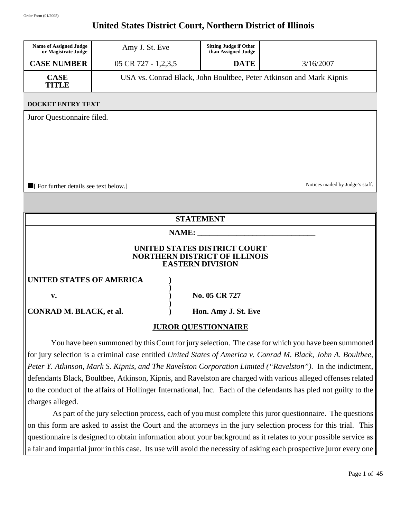### **United States District Court, Northern District of Illinois**

| <b>Name of Assigned Judge</b><br>or Magistrate Judge | Amy J. St. Eve                 | <b>Sitting Judge if Other</b><br>than Assigned Judge |                                                                     |
|------------------------------------------------------|--------------------------------|------------------------------------------------------|---------------------------------------------------------------------|
| <b>CASE NUMBER</b>                                   | $05 \text{ CR } 727 - 1,2,3,5$ | <b>DATE</b>                                          | 3/16/2007                                                           |
| <b>CASE</b><br>TITLE                                 |                                |                                                      | USA vs. Conrad Black, John Boultbee, Peter Atkinson and Mark Kipnis |

#### **DOCKET ENTRY TEXT**

Juror Questionnaire filed.

■[ For further details see text below.] Notices mailed by Judge's staff.

#### **STATEMENT**

#### **NAME: \_\_\_\_\_\_\_\_\_\_\_\_\_\_\_\_\_\_\_\_\_\_\_\_\_\_\_\_\_\_**

**)**

**)**

#### **UNITED STATES DISTRICT COURT NORTHERN DISTRICT OF ILLINOIS EASTERN DIVISION**

**UNITED STATES OF AMERICA )**

| ۰,      |
|---------|
| I<br>۰. |

**CONRAD M. BLACK, et al.** (a) Hon. Amy J. St. Eve

**v. 05 CR 727** 

#### **JUROR QUESTIONNAIRE**

You have been summoned by this Court for jury selection. The case for which you have been summoned for jury selection is a criminal case entitled *United States of America v. Conrad M. Black, John A. Boultbee, Peter Y. Atkinson, Mark S. Kipnis, and The Ravelston Corporation Limited ("Ravelston")*. In the indictment, defendants Black, Boultbee, Atkinson, Kipnis, and Ravelston are charged with various alleged offenses related to the conduct of the affairs of Hollinger International, Inc. Each of the defendants has pled not guilty to the charges alleged.

 As part of the jury selection process, each of you must complete this juror questionnaire. The questions on this form are asked to assist the Court and the attorneys in the jury selection process for this trial. This questionnaire is designed to obtain information about your background as it relates to your possible service as a fair and impartial juror in this case. Its use will avoid the necessity of asking each prospective juror every one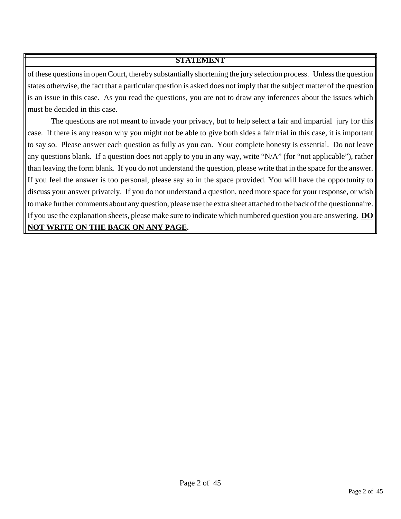of these questions in open Court, thereby substantially shortening the jury selection process. Unless the question states otherwise, the fact that a particular question is asked does not imply that the subject matter of the question is an issue in this case. As you read the questions, you are not to draw any inferences about the issues which must be decided in this case.

The questions are not meant to invade your privacy, but to help select a fair and impartial jury for this case. If there is any reason why you might not be able to give both sides a fair trial in this case, it is important to say so. Please answer each question as fully as you can. Your complete honesty is essential. Do not leave any questions blank. If a question does not apply to you in any way, write "N/A" (for "not applicable"), rather than leaving the form blank. If you do not understand the question, please write that in the space for the answer. If you feel the answer is too personal, please say so in the space provided. You will have the opportunity to discuss your answer privately. If you do not understand a question, need more space for your response, or wish to make further comments about any question, please use the extra sheet attached to the back of the questionnaire. If you use the explanation sheets, please make sure to indicate which numbered question you are answering. **DO NOT WRITE ON THE BACK ON ANY PAGE.**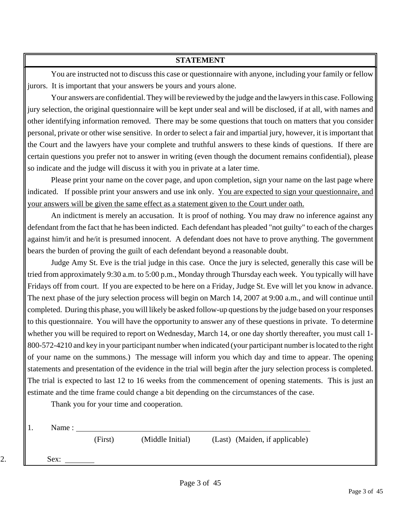You are instructed not to discuss this case or questionnaire with anyone, including your family or fellow jurors. It is important that your answers be yours and yours alone.

Your answers are confidential. They will be reviewed by the judge and the lawyers in this case. Following jury selection, the original questionnaire will be kept under seal and will be disclosed, if at all, with names and other identifying information removed. There may be some questions that touch on matters that you consider personal, private or other wise sensitive. In order to select a fair and impartial jury, however, it is important that the Court and the lawyers have your complete and truthful answers to these kinds of questions. If there are certain questions you prefer not to answer in writing (even though the document remains confidential), please so indicate and the judge will discuss it with you in private at a later time.

Please print your name on the cover page, and upon completion, sign your name on the last page where indicated. If possible print your answers and use ink only. You are expected to sign your questionnaire, and your answers will be given the same effect as a statement given to the Court under oath.

An indictment is merely an accusation. It is proof of nothing. You may draw no inference against any defendant from the fact that he has been indicted. Each defendant has pleaded "not guilty" to each of the charges against him/it and he/it is presumed innocent. A defendant does not have to prove anything. The government bears the burden of proving the guilt of each defendant beyond a reasonable doubt.

Judge Amy St. Eve is the trial judge in this case. Once the jury is selected, generally this case will be tried from approximately 9:30 a.m. to 5:00 p.m., Monday through Thursday each week. You typically will have Fridays off from court. If you are expected to be here on a Friday, Judge St. Eve will let you know in advance. The next phase of the jury selection process will begin on March 14, 2007 at 9:00 a.m., and will continue until completed. During this phase, you will likely be asked follow-up questions by the judge based on your responses to this questionnaire. You will have the opportunity to answer any of these questions in private. To determine whether you will be required to report on Wednesday, March 14, or one day shortly thereafter, you must call 1- 800-572-4210 and key in your participant number when indicated (your participant number is located to the right of your name on the summons.) The message will inform you which day and time to appear. The opening statements and presentation of the evidence in the trial will begin after the jury selection process is completed. The trial is expected to last 12 to 16 weeks from the commencement of opening statements. This is just an estimate and the time frame could change a bit depending on the circumstances of the case.

Thank you for your time and cooperation.

1. Name :

(First) (Middle Initial) (Last) (Maiden, if applicable)

2.  $|\hspace{-.06in}1$  Sex: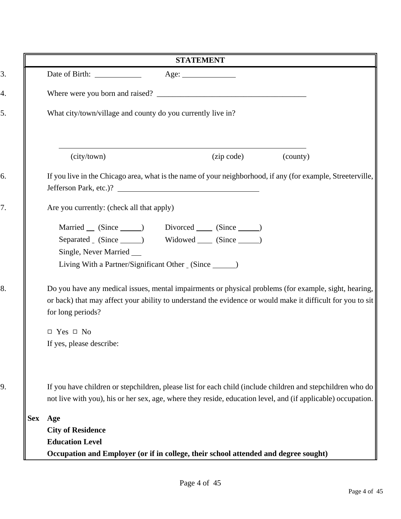|            | <b>STATEMENT</b>                                                                                                                                                                                                                         |
|------------|------------------------------------------------------------------------------------------------------------------------------------------------------------------------------------------------------------------------------------------|
|            | Age:                                                                                                                                                                                                                                     |
|            |                                                                                                                                                                                                                                          |
|            | What city/town/village and county do you currently live in?                                                                                                                                                                              |
|            | (city/town)<br>(zip code)<br>(county)                                                                                                                                                                                                    |
|            | If you live in the Chicago area, what is the name of your neighborhood, if any (for example, Streeterville,                                                                                                                              |
|            | Are you currently: (check all that apply)                                                                                                                                                                                                |
|            | Married (Since ) Divorced (Since )<br>Widowed (Since ______)<br>Single, Never Married _____<br>Living With a Partner/Significant Other (Since _____)                                                                                     |
|            | Do you have any medical issues, mental impairments or physical problems (for example, sight, hearing,<br>or back) that may affect your ability to understand the evidence or would make it difficult for you to sit<br>for long periods? |
|            | $\Box$ Yes $\Box$ No<br>If yes, please describe:                                                                                                                                                                                         |
|            | If you have children or stepchildren, please list for each child (include children and stepchildren who do<br>not live with you), his or her sex, age, where they reside, education level, and (if applicable) occupation.               |
| <b>Sex</b> | Age                                                                                                                                                                                                                                      |
|            | <b>City of Residence</b>                                                                                                                                                                                                                 |
|            | <b>Education Level</b>                                                                                                                                                                                                                   |
|            |                                                                                                                                                                                                                                          |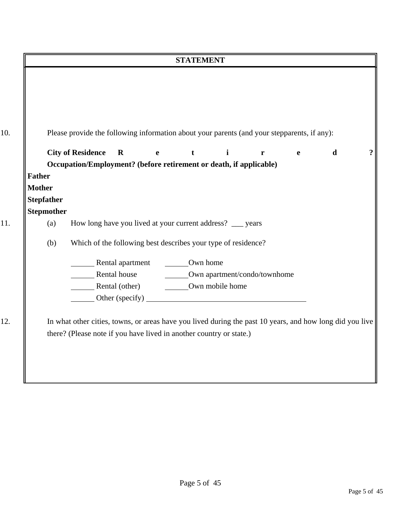|                   | <b>STATEMENT</b>                                                                                       |
|-------------------|--------------------------------------------------------------------------------------------------------|
|                   |                                                                                                        |
|                   |                                                                                                        |
|                   |                                                                                                        |
|                   |                                                                                                        |
|                   | Please provide the following information about your parents (and your stepparents, if any):            |
|                   |                                                                                                        |
|                   | <b>City of Residence</b><br>$\mathbf R$<br>$\mathbf{i}$<br>d<br>t<br>$\mathbf{e}$<br>$\mathbf{r}$<br>e |
|                   | Occupation/Employment? (before retirement or death, if applicable)                                     |
| <b>Father</b>     |                                                                                                        |
| <b>Mother</b>     |                                                                                                        |
| <b>Stepfather</b> |                                                                                                        |
| <b>Stepmother</b> |                                                                                                        |
| (a)               | How long have you lived at your current address? __ years                                              |
| (b)               | Which of the following best describes your type of residence?                                          |
|                   |                                                                                                        |
|                   | Rental apartment Cown home                                                                             |
|                   | Rental house Cwn apartment/condo/townhome                                                              |
|                   | Rental (other) Cwn mobile home                                                                         |
|                   |                                                                                                        |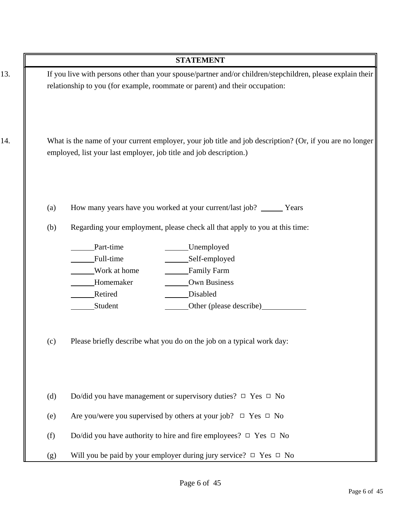|     |     | <b>STATEMENT</b>                                                                                                                                                               |
|-----|-----|--------------------------------------------------------------------------------------------------------------------------------------------------------------------------------|
| 13. |     | If you live with persons other than your spouse/partner and/or children/stepchildren, please explain their                                                                     |
|     |     | relationship to you (for example, roommate or parent) and their occupation:                                                                                                    |
| 14. |     | What is the name of your current employer, your job title and job description? (Or, if you are no longer<br>employed, list your last employer, job title and job description.) |
|     | (a) | How many years have you worked at your current/last job? _______ Years                                                                                                         |
|     | (b) | Regarding your employment, please check all that apply to you at this time:                                                                                                    |
|     |     | Part-time<br>Unemployed                                                                                                                                                        |
|     |     | Full-time<br>Self-employed                                                                                                                                                     |
|     |     | Work at home<br>Family Farm                                                                                                                                                    |
|     |     | Homemaker<br>Own Business                                                                                                                                                      |
|     |     | Retired<br>Disabled                                                                                                                                                            |
|     |     | Student<br>Other (please describe)                                                                                                                                             |
|     | (c) | Please briefly describe what you do on the job on a typical work day:                                                                                                          |
|     | (d) | Do/did you have management or supervisory duties? $\Box$ Yes $\Box$ No                                                                                                         |
|     | (e) | Are you/were you supervised by others at your job? $\Box$ Yes $\Box$ No                                                                                                        |
|     | (f) | Do/did you have authority to hire and fire employees? $\Box$ Yes $\Box$ No                                                                                                     |
|     | (g) | Will you be paid by your employer during jury service? $\Box$ Yes $\Box$ No                                                                                                    |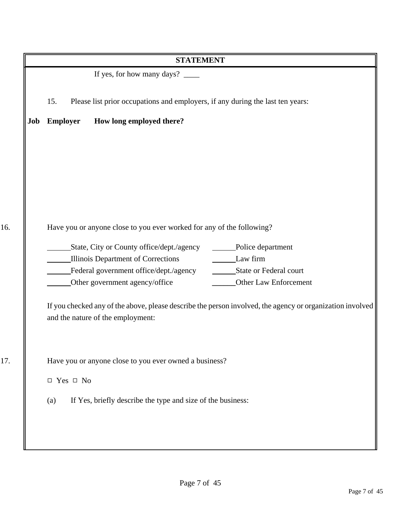|     | <b>STATEMENT</b>                                                                                          |
|-----|-----------------------------------------------------------------------------------------------------------|
|     | If yes, for how many days? _______                                                                        |
|     | Please list prior occupations and employers, if any during the last ten years:<br>15.                     |
| Job | How long employed there?<br><b>Employer</b>                                                               |
|     |                                                                                                           |
|     |                                                                                                           |
|     |                                                                                                           |
|     |                                                                                                           |
|     | Have you or anyone close to you ever worked for any of the following?                                     |
|     | _State, City or County office/dept./agency _______Police department                                       |
|     | Illinois Department of Corrections<br>Law firm                                                            |
|     |                                                                                                           |
|     | Other Law Enforcement<br>Other government agency/office                                                   |
|     | If you checked any of the above, please describe the person involved, the agency or organization involved |
|     | and the nature of the employment:                                                                         |
|     |                                                                                                           |
|     | Have you or anyone close to you ever owned a business?                                                    |
|     | $\hfill \Box$<br>Yes $\hfill \Box$<br>No                                                                  |
|     | If Yes, briefly describe the type and size of the business:<br>(a)                                        |
|     |                                                                                                           |
|     |                                                                                                           |
|     |                                                                                                           |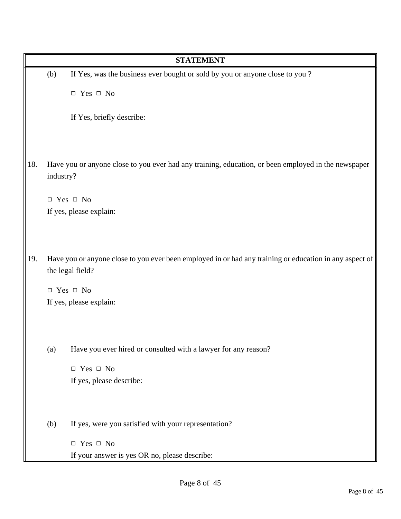|                         |           | <b>STATEMENT</b>                                                                                        |
|-------------------------|-----------|---------------------------------------------------------------------------------------------------------|
|                         | (b)       | If Yes, was the business ever bought or sold by you or anyone close to you?                             |
|                         |           | $\Box$ Yes $\Box$ No                                                                                    |
|                         |           | If Yes, briefly describe:                                                                               |
| 18.                     | industry? | Have you or anyone close to you ever had any training, education, or been employed in the newspaper     |
|                         |           | $\Box$ Yes $\Box$ No                                                                                    |
|                         |           | If yes, please explain:                                                                                 |
| 19.<br>the legal field? |           | Have you or anyone close to you ever been employed in or had any training or education in any aspect of |
|                         |           | $\Box$ Yes $\Box$ No                                                                                    |
|                         |           | If yes, please explain:                                                                                 |
|                         | (a)       | Have you ever hired or consulted with a lawyer for any reason?                                          |
|                         |           | $\Box$ Yes $\Box$ No                                                                                    |
|                         |           | If yes, please describe:                                                                                |
|                         | (b)       | If yes, were you satisfied with your representation?                                                    |
|                         |           | $\Box$ Yes $\Box$ No                                                                                    |
|                         |           | If your answer is yes OR no, please describe:                                                           |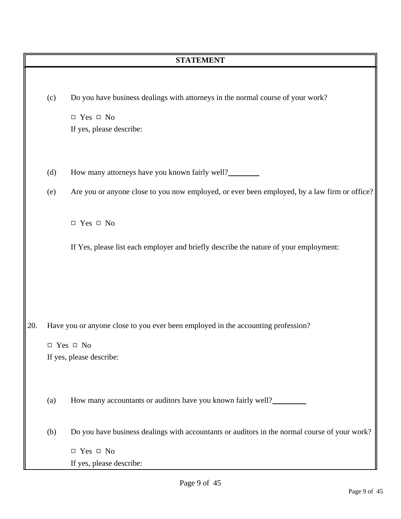|     | <b>STATEMENT</b> |                                                                                               |  |  |  |
|-----|------------------|-----------------------------------------------------------------------------------------------|--|--|--|
|     |                  |                                                                                               |  |  |  |
|     | (c)              | Do you have business dealings with attorneys in the normal course of your work?               |  |  |  |
|     |                  | $\Box$ Yes $\Box$ No                                                                          |  |  |  |
|     |                  | If yes, please describe:                                                                      |  |  |  |
|     |                  |                                                                                               |  |  |  |
|     |                  |                                                                                               |  |  |  |
|     | (d)              | How many attorneys have you known fairly well?                                                |  |  |  |
|     | (e)              | Are you or anyone close to you now employed, or ever been employed, by a law firm or office?  |  |  |  |
|     |                  |                                                                                               |  |  |  |
|     |                  | $\Box$ Yes $\Box$ No                                                                          |  |  |  |
|     |                  |                                                                                               |  |  |  |
|     |                  | If Yes, please list each employer and briefly describe the nature of your employment:         |  |  |  |
|     |                  |                                                                                               |  |  |  |
|     |                  |                                                                                               |  |  |  |
|     |                  |                                                                                               |  |  |  |
|     |                  |                                                                                               |  |  |  |
| 20. |                  | Have you or anyone close to you ever been employed in the accounting profession?              |  |  |  |
|     |                  |                                                                                               |  |  |  |
|     |                  | $\Box$ Yes $\Box$ No<br>If yes, please describe:                                              |  |  |  |
|     |                  |                                                                                               |  |  |  |
|     |                  |                                                                                               |  |  |  |
|     | (a)              | How many accountants or auditors have you known fairly well?                                  |  |  |  |
|     |                  |                                                                                               |  |  |  |
|     | (b)              | Do you have business dealings with accountants or auditors in the normal course of your work? |  |  |  |
|     |                  | $\Box$ Yes $\Box$ No                                                                          |  |  |  |
|     |                  | If yes, please describe:                                                                      |  |  |  |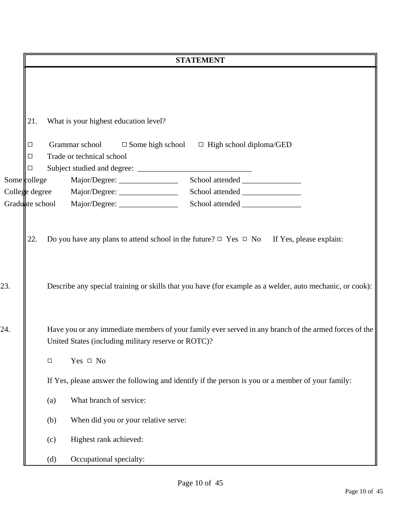|                 |                                                                                                                                                              |        |                                              | <b>STATEMENT</b>                                                                                         |
|-----------------|--------------------------------------------------------------------------------------------------------------------------------------------------------------|--------|----------------------------------------------|----------------------------------------------------------------------------------------------------------|
|                 |                                                                                                                                                              |        |                                              |                                                                                                          |
|                 | 21.                                                                                                                                                          |        | What is your highest education level?        |                                                                                                          |
|                 | $\Box$<br>□<br>$\Box$                                                                                                                                        |        | Grammar school<br>Trade or technical school  | $\Box$ Some high school $\Box$ High school diploma/GED                                                   |
| Some college    |                                                                                                                                                              |        | Major/Degree: ____________________           |                                                                                                          |
|                 |                                                                                                                                                              |        | College degree Major/Degree: _______________ |                                                                                                          |
| Graduate school |                                                                                                                                                              |        |                                              |                                                                                                          |
| 23.             |                                                                                                                                                              |        |                                              | Describe any special training or skills that you have (for example as a welder, auto mechanic, or cook): |
| 24.             | Have you or any immediate members of your family ever served in any branch of the armed forces of the<br>United States (including military reserve or ROTC)? |        |                                              |                                                                                                          |
|                 |                                                                                                                                                              | $\Box$ | Yes $\Box$ No                                |                                                                                                          |
|                 |                                                                                                                                                              |        |                                              | If Yes, please answer the following and identify if the person is you or a member of your family:        |
|                 |                                                                                                                                                              | (a)    | What branch of service:                      |                                                                                                          |
|                 |                                                                                                                                                              | (b)    | When did you or your relative serve:         |                                                                                                          |
|                 |                                                                                                                                                              | (c)    | Highest rank achieved:                       |                                                                                                          |
|                 |                                                                                                                                                              | (d)    | Occupational specialty:                      |                                                                                                          |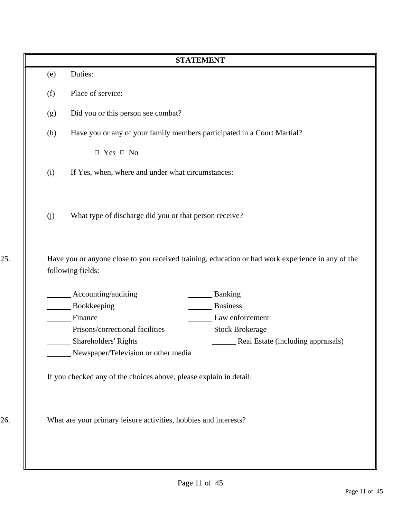|     |                                                                                                           | <b>STATEMENT</b>                                                                                  |
|-----|-----------------------------------------------------------------------------------------------------------|---------------------------------------------------------------------------------------------------|
| (e) | Duties:                                                                                                   |                                                                                                   |
| (f) | Place of service:                                                                                         |                                                                                                   |
| (g) | Did you or this person see combat?                                                                        |                                                                                                   |
| (h) | Have you or any of your family members participated in a Court Martial?                                   |                                                                                                   |
|     | $\Box$ Yes $\Box$ No                                                                                      |                                                                                                   |
| (i) | If Yes, when, where and under what circumstances:                                                         |                                                                                                   |
| (j) | What type of discharge did you or that person receive?                                                    |                                                                                                   |
|     |                                                                                                           | Have you or anyone close to you received training, education or had work experience in any of the |
|     | following fields:<br>Accounting/auditing                                                                  | <b>Banking</b>                                                                                    |
|     | Bookkeeping                                                                                               | <b>Business</b>                                                                                   |
|     | Finance                                                                                                   | Law enforcement                                                                                   |
|     | Prisons/correctional facilities                                                                           | <b>Stock Brokerage</b>                                                                            |
|     | Shareholders' Rights                                                                                      | Real Estate (including appraisals)                                                                |
|     | Newspaper/Television or other media<br>If you checked any of the choices above, please explain in detail: |                                                                                                   |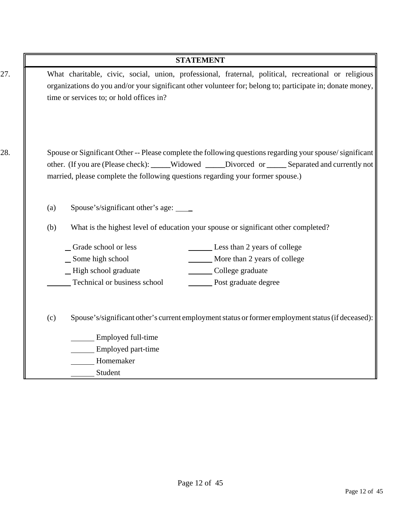|     | <b>STATEMENT</b>                                                                                                                                                                                                                                                                                 |
|-----|--------------------------------------------------------------------------------------------------------------------------------------------------------------------------------------------------------------------------------------------------------------------------------------------------|
|     | What charitable, civic, social, union, professional, fraternal, political, recreational or religious<br>organizations do you and/or your significant other volunteer for; belong to; participate in; donate money,<br>time or services to; or hold offices in?                                   |
|     | Spouse or Significant Other -- Please complete the following questions regarding your spouse/significant<br>other. (If you are (Please check): _____Widowed _____Divorced or _____Separated and currently not<br>married, please complete the following questions regarding your former spouse.) |
| (a) | Spouse's/significant other's age: ____                                                                                                                                                                                                                                                           |
| (b) | What is the highest level of education your spouse or significant other completed?                                                                                                                                                                                                               |
|     | Grade school or less<br>Less than 2 years of college                                                                                                                                                                                                                                             |
|     | More than 2 years of college<br>Some high school                                                                                                                                                                                                                                                 |
|     | College graduate<br>_High school graduate                                                                                                                                                                                                                                                        |
|     | Technical or business school<br>Post graduate degree                                                                                                                                                                                                                                             |
| (c) | Spouse's/significant other's current employment status or former employment status (if deceased):                                                                                                                                                                                                |
|     | Employed full-time                                                                                                                                                                                                                                                                               |
|     | Employed part-time                                                                                                                                                                                                                                                                               |
|     | Homemaker                                                                                                                                                                                                                                                                                        |
|     | Student                                                                                                                                                                                                                                                                                          |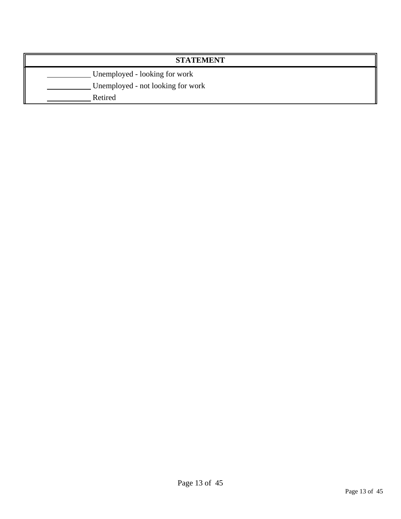| <b>STATEMENT</b>                  |  |  |
|-----------------------------------|--|--|
| Unemployed - looking for work     |  |  |
| Unemployed - not looking for work |  |  |
| Retired                           |  |  |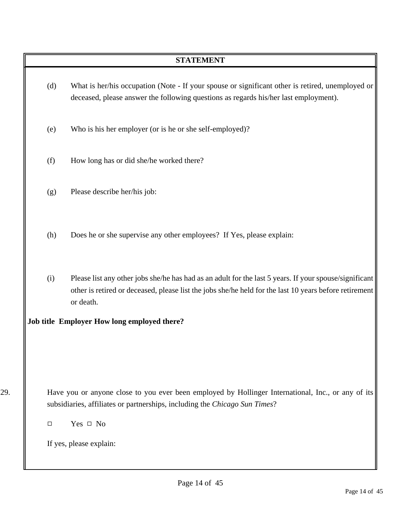- (d) What is her/his occupation (Note If your spouse or significant other is retired, unemployed or deceased, please answer the following questions as regards his/her last employment).
- (e) Who is his her employer (or is he or she self-employed)?
- (f) How long has or did she/he worked there?
- (g) Please describe her/his job:
- (h) Does he or she supervise any other employees? If Yes, please explain:
- (i) Please list any other jobs she/he has had as an adult for the last 5 years. If your spouse/significant other is retired or deceased, please list the jobs she/he held for the last 10 years before retirement or death.

#### **Job title Employer How long employed there?**

- 29. Have you or anyone close to you ever been employed by Hollinger International, Inc., or any of its subsidiaries, affiliates or partnerships, including the *Chicago Sun Times*?
	- $\Box$  Yes  $\Box$  No

If yes, please explain: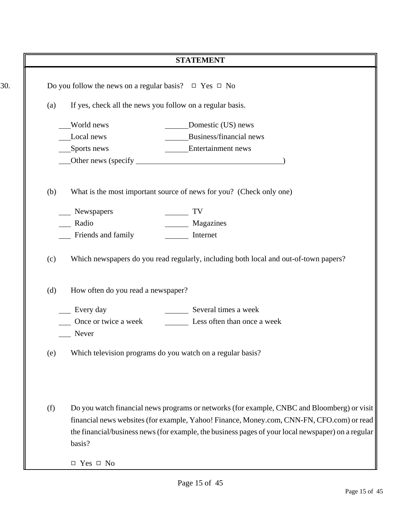|     | <b>STATEMENT</b>                                                                                                                                                                                                                                                                                         |  |
|-----|----------------------------------------------------------------------------------------------------------------------------------------------------------------------------------------------------------------------------------------------------------------------------------------------------------|--|
|     | Do you follow the news on a regular basis? $\Box$ Yes $\Box$ No                                                                                                                                                                                                                                          |  |
| (a) | If yes, check all the news you follow on a regular basis.                                                                                                                                                                                                                                                |  |
|     | World news<br>Domestic (US) news                                                                                                                                                                                                                                                                         |  |
|     | Business/financial news<br>Local news                                                                                                                                                                                                                                                                    |  |
|     | Entertainment news<br>_Sports news                                                                                                                                                                                                                                                                       |  |
|     |                                                                                                                                                                                                                                                                                                          |  |
| (b) | What is the most important source of news for you? (Check only one)                                                                                                                                                                                                                                      |  |
|     | Newspapers<br>TV                                                                                                                                                                                                                                                                                         |  |
|     | Magazines<br>Radio                                                                                                                                                                                                                                                                                       |  |
|     | Friends and family<br>Internet                                                                                                                                                                                                                                                                           |  |
| (c) | Which newspapers do you read regularly, including both local and out-of-town papers?                                                                                                                                                                                                                     |  |
| (d) | How often do you read a newspaper?                                                                                                                                                                                                                                                                       |  |
|     | Several times a week<br>Every day                                                                                                                                                                                                                                                                        |  |
|     | Once or twice a week<br>Less often than once a week                                                                                                                                                                                                                                                      |  |
|     | Never                                                                                                                                                                                                                                                                                                    |  |
| (e) | Which television programs do you watch on a regular basis?                                                                                                                                                                                                                                               |  |
| (f) | Do you watch financial news programs or networks (for example, CNBC and Bloomberg) or visit<br>financial news websites (for example, Yahoo! Finance, Money.com, CNN-FN, CFO.com) or read<br>the financial/business news (for example, the business pages of your local newspaper) on a regular<br>basis? |  |
|     | $\Box$ Yes $\Box$ No                                                                                                                                                                                                                                                                                     |  |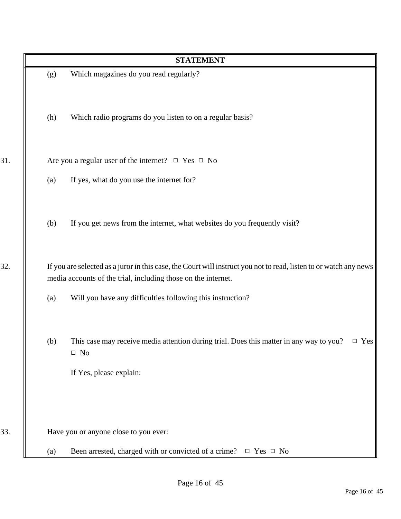|     |     | <b>STATEMENT</b>                                                                                                                                                                   |
|-----|-----|------------------------------------------------------------------------------------------------------------------------------------------------------------------------------------|
|     | (g) | Which magazines do you read regularly?                                                                                                                                             |
|     | (h) | Which radio programs do you listen to on a regular basis?                                                                                                                          |
| 31. |     | Are you a regular user of the internet? $\Box$ Yes $\Box$ No                                                                                                                       |
|     | (a) | If yes, what do you use the internet for?                                                                                                                                          |
|     | (b) | If you get news from the internet, what websites do you frequently visit?                                                                                                          |
| 32. |     | If you are selected as a juror in this case, the Court will instruct you not to read, listen to or watch any news<br>media accounts of the trial, including those on the internet. |
|     | (a) | Will you have any difficulties following this instruction?                                                                                                                         |
|     | (b) | This case may receive media attention during trial. Does this matter in any way to you?<br>$\Box$ Yes<br>$\square$ No                                                              |
|     |     | If Yes, please explain:                                                                                                                                                            |
| 33. |     | Have you or anyone close to you ever:                                                                                                                                              |
|     | (a) | Been arrested, charged with or convicted of a crime? $\Box$ Yes $\Box$ No                                                                                                          |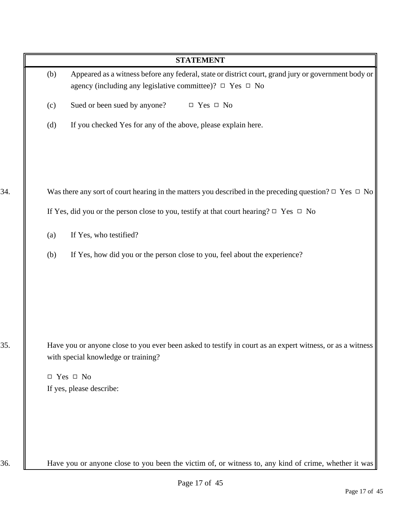| <b>STATEMENT</b>                                                                                                                                 |
|--------------------------------------------------------------------------------------------------------------------------------------------------|
| Appeared as a witness before any federal, state or district court, grand jury or government body or<br>(b)                                       |
| agency (including any legislative committee)? □ Yes □ No                                                                                         |
| Sued or been sued by anyone?<br>$\Box$ Yes $\Box$ No<br>(c)                                                                                      |
| (d)<br>If you checked Yes for any of the above, please explain here.                                                                             |
| Was there any sort of court hearing in the matters you described in the preceding question? $\Box$ Yes $\Box$ No                                 |
| If Yes, did you or the person close to you, testify at that court hearing? $\Box$ Yes $\Box$ No                                                  |
|                                                                                                                                                  |
| If Yes, who testified?<br>(a)                                                                                                                    |
| (b)<br>If Yes, how did you or the person close to you, feel about the experience?                                                                |
|                                                                                                                                                  |
|                                                                                                                                                  |
|                                                                                                                                                  |
|                                                                                                                                                  |
| Have you or anyone close to you ever been asked to testify in court as an expert witness, or as a witness<br>with special knowledge or training? |
| $\Box$ Yes $\Box$ No                                                                                                                             |
| If yes, please describe:                                                                                                                         |
|                                                                                                                                                  |
|                                                                                                                                                  |
|                                                                                                                                                  |
| Have you or anyone close to you been the victim of, or witness to, any kind of crime, whether it was                                             |
| Page 17 of 45                                                                                                                                    |
| Page 17 of 45                                                                                                                                    |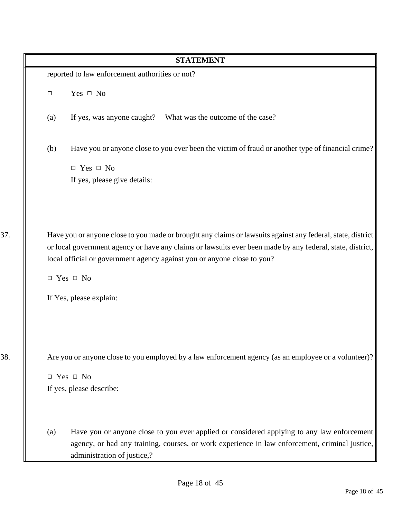|     |                                                                                                             | <b>STATEMENT</b>                                                                                                                                                                             |
|-----|-------------------------------------------------------------------------------------------------------------|----------------------------------------------------------------------------------------------------------------------------------------------------------------------------------------------|
|     |                                                                                                             | reported to law enforcement authorities or not?                                                                                                                                              |
|     | $\Box$                                                                                                      | Yes $\Box$ No                                                                                                                                                                                |
|     | (a)                                                                                                         | If yes, was anyone caught? What was the outcome of the case?                                                                                                                                 |
|     | (b)                                                                                                         | Have you or anyone close to you ever been the victim of fraud or another type of financial crime?                                                                                            |
|     |                                                                                                             | $\Box$ Yes $\Box$ No                                                                                                                                                                         |
|     |                                                                                                             | If yes, please give details:                                                                                                                                                                 |
|     |                                                                                                             |                                                                                                                                                                                              |
| 37. | Have you or anyone close to you made or brought any claims or lawsuits against any federal, state, district |                                                                                                                                                                                              |
|     |                                                                                                             | or local government agency or have any claims or lawsuits ever been made by any federal, state, district,<br>local official or government agency against you or anyone close to you?         |
|     |                                                                                                             | $\Box$ Yes $\Box$ No                                                                                                                                                                         |
|     |                                                                                                             | If Yes, please explain:                                                                                                                                                                      |
| 38. |                                                                                                             | Are you or anyone close to you employed by a law enforcement agency (as an employee or a volunteer)?                                                                                         |
|     |                                                                                                             | $\Box$ Yes $\Box$ No                                                                                                                                                                         |
|     |                                                                                                             | If yes, please describe:                                                                                                                                                                     |
|     | (a)                                                                                                         | Have you or anyone close to you ever applied or considered applying to any law enforcement<br>agency, or had any training, courses, or work experience in law enforcement, criminal justice, |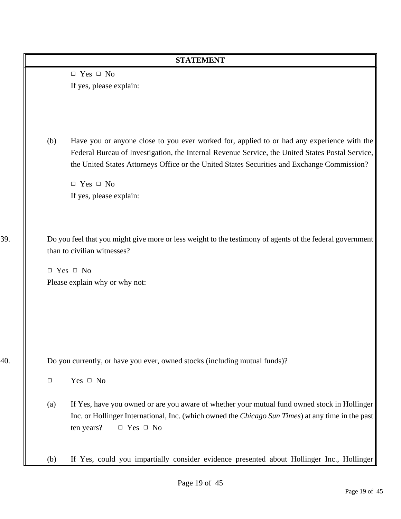|     |        | <b>STATEMENT</b>                                                                                                                                                                                                                                                                              |
|-----|--------|-----------------------------------------------------------------------------------------------------------------------------------------------------------------------------------------------------------------------------------------------------------------------------------------------|
|     |        | $\Box$ Yes $\Box$ No                                                                                                                                                                                                                                                                          |
|     |        | If yes, please explain:                                                                                                                                                                                                                                                                       |
|     |        |                                                                                                                                                                                                                                                                                               |
|     | (b)    | Have you or anyone close to you ever worked for, applied to or had any experience with the<br>Federal Bureau of Investigation, the Internal Revenue Service, the United States Postal Service,<br>the United States Attorneys Office or the United States Securities and Exchange Commission? |
|     |        | $\Box$ Yes $\Box$ No                                                                                                                                                                                                                                                                          |
|     |        | If yes, please explain:                                                                                                                                                                                                                                                                       |
| 39. |        | Do you feel that you might give more or less weight to the testimony of agents of the federal government<br>than to civilian witnesses?                                                                                                                                                       |
|     |        | $\Box$ Yes $\Box$ No                                                                                                                                                                                                                                                                          |
|     |        | Please explain why or why not:                                                                                                                                                                                                                                                                |
|     |        |                                                                                                                                                                                                                                                                                               |
|     |        |                                                                                                                                                                                                                                                                                               |
|     |        |                                                                                                                                                                                                                                                                                               |
| 40. |        | Do you currently, or have you ever, owned stocks (including mutual funds)?                                                                                                                                                                                                                    |
|     | $\Box$ | Yes $\Box$ No                                                                                                                                                                                                                                                                                 |
|     | (a)    | If Yes, have you owned or are you aware of whether your mutual fund owned stock in Hollinger<br>Inc. or Hollinger International, Inc. (which owned the <i>Chicago Sun Times</i> ) at any time in the past<br>ten years?<br>$\Box$ Yes $\Box$ No                                               |
|     | (b)    | If Yes, could you impartially consider evidence presented about Hollinger Inc., Hollinger                                                                                                                                                                                                     |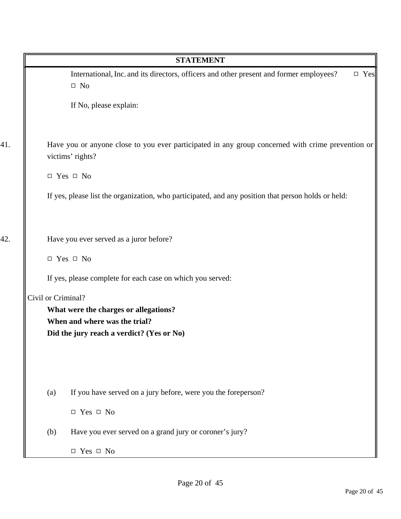|                    | <b>STATEMENT</b>                                                                                                         |
|--------------------|--------------------------------------------------------------------------------------------------------------------------|
|                    | International, Inc. and its directors, officers and other present and former employees?<br>$\square$ Yes<br>$\square$ No |
|                    | If No, please explain:                                                                                                   |
|                    | Have you or anyone close to you ever participated in any group concerned with crime prevention or<br>victims' rights?    |
|                    | $\Box$ Yes $\Box$ No                                                                                                     |
|                    | If yes, please list the organization, who participated, and any position that person holds or held:                      |
|                    | Have you ever served as a juror before?                                                                                  |
|                    | $\Box$ Yes $\Box$ No                                                                                                     |
|                    | If yes, please complete for each case on which you served:                                                               |
| Civil or Criminal? |                                                                                                                          |
|                    | What were the charges or allegations?<br>When and where was the trial?                                                   |
|                    | Did the jury reach a verdict? (Yes or No)                                                                                |
|                    |                                                                                                                          |
| (a)                | If you have served on a jury before, were you the foreperson?                                                            |
|                    | $\Box$ Yes $\Box$ No                                                                                                     |
| (b)                | Have you ever served on a grand jury or coroner's jury?                                                                  |
|                    | $\Box$ Yes $\Box$ No                                                                                                     |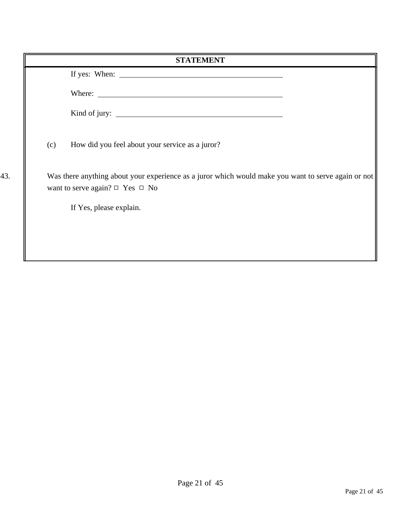|     | <b>STATEMENT</b>                                                                                                                                 |
|-----|--------------------------------------------------------------------------------------------------------------------------------------------------|
|     |                                                                                                                                                  |
|     | Where:                                                                                                                                           |
|     |                                                                                                                                                  |
|     | (c)<br>How did you feel about your service as a juror?                                                                                           |
| 43. | Was there anything about your experience as a juror which would make you want to serve again or not<br>want to serve again? $\Box$ Yes $\Box$ No |
|     | If Yes, please explain.                                                                                                                          |
|     |                                                                                                                                                  |
|     |                                                                                                                                                  |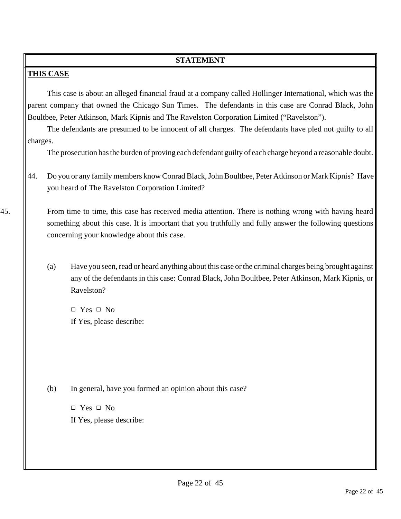### **THIS CASE**

This case is about an alleged financial fraud at a company called Hollinger International, which was the parent company that owned the Chicago Sun Times. The defendants in this case are Conrad Black, John Boultbee, Peter Atkinson, Mark Kipnis and The Ravelston Corporation Limited ("Ravelston").

The defendants are presumed to be innocent of all charges. The defendants have pled not guilty to all charges.

The prosecution has the burden of proving each defendant guilty of each charge beyond a reasonable doubt.

44. Do you or any family members know Conrad Black, John Boultbee, Peter Atkinson or Mark Kipnis? Have you heard of The Ravelston Corporation Limited?

45. From time to time, this case has received media attention. There is nothing wrong with having heard something about this case. It is important that you truthfully and fully answer the following questions concerning your knowledge about this case.

> (a) Have you seen, read or heard anything about this case or the criminal charges being brought against any of the defendants in this case: Conrad Black, John Boultbee, Peter Atkinson, Mark Kipnis, or Ravelston?

 $\Box$  Yes  $\Box$  No If Yes, please describe:

(b) In general, have you formed an opinion about this case?

 $\Box$  Yes  $\Box$  No If Yes, please describe: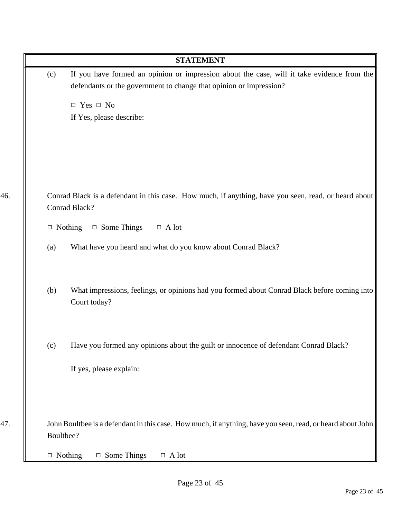|     | <b>STATEMENT</b>                                                                                                                                                        |
|-----|-------------------------------------------------------------------------------------------------------------------------------------------------------------------------|
|     | If you have formed an opinion or impression about the case, will it take evidence from the<br>(c)<br>defendants or the government to change that opinion or impression? |
|     | $\Box$ Yes $\Box$ No                                                                                                                                                    |
|     | If Yes, please describe:                                                                                                                                                |
|     |                                                                                                                                                                         |
|     |                                                                                                                                                                         |
|     |                                                                                                                                                                         |
| 46. | Conrad Black is a defendant in this case. How much, if anything, have you seen, read, or heard about                                                                    |
|     | Conrad Black?                                                                                                                                                           |
|     | $\Box$ Some Things<br>$\Box$ Nothing<br>$\Box$ A lot                                                                                                                    |
|     | What have you heard and what do you know about Conrad Black?<br>(a)                                                                                                     |
|     | What impressions, feelings, or opinions had you formed about Conrad Black before coming into<br>(b)<br>Court today?                                                     |
|     |                                                                                                                                                                         |
|     | Have you formed any opinions about the guilt or innocence of defendant Conrad Black?<br>(c)                                                                             |
|     | If yes, please explain:                                                                                                                                                 |
|     |                                                                                                                                                                         |
| 47. | John Boultbee is a defendant in this case. How much, if anything, have you seen, read, or heard about John<br>Boultbee?                                                 |
|     | $\Box$ Some Things<br>$\Box$ Nothing<br>$\Box$ A lot                                                                                                                    |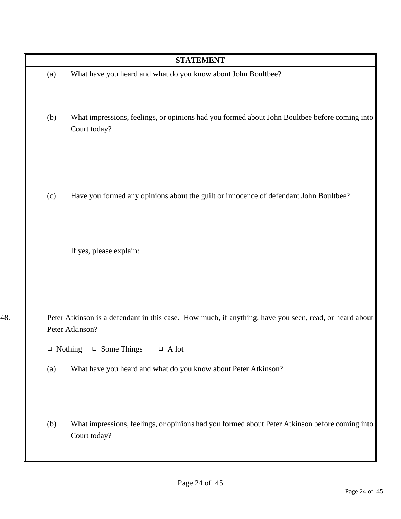|                | <b>STATEMENT</b>                                                                                                                                                          |
|----------------|---------------------------------------------------------------------------------------------------------------------------------------------------------------------------|
| (a)            | What have you heard and what do you know about John Boultbee?                                                                                                             |
| (b)            | What impressions, feelings, or opinions had you formed about John Boultbee before coming into<br>Court today?                                                             |
| (c)            | Have you formed any opinions about the guilt or innocence of defendant John Boultbee?                                                                                     |
|                | If yes, please explain:                                                                                                                                                   |
| $\Box$ Nothing | Peter Atkinson is a defendant in this case. How much, if anything, have you seen, read, or heard about<br>Peter Atkinson?<br>$\Box$ Some Things<br>$\hfill \Box$<br>A lot |
| (a)            | What have you heard and what do you know about Peter Atkinson?                                                                                                            |
| (b)            | What impressions, feelings, or opinions had you formed about Peter Atkinson before coming into<br>Court today?                                                            |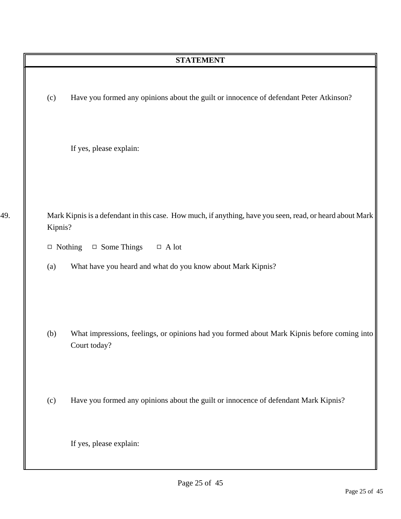|     |         | <b>STATEMENT</b>                                                                                            |
|-----|---------|-------------------------------------------------------------------------------------------------------------|
|     | (c)     | Have you formed any opinions about the guilt or innocence of defendant Peter Atkinson?                      |
|     |         | If yes, please explain:                                                                                     |
| 49. | Kipnis? | Mark Kipnis is a defendant in this case. How much, if anything, have you seen, read, or heard about Mark    |
|     |         | $\Box$ Some Things<br>$\hfill \Box$<br><br>A lot<br>$\Box$ Nothing                                          |
|     | (a)     | What have you heard and what do you know about Mark Kipnis?                                                 |
|     | (b)     | What impressions, feelings, or opinions had you formed about Mark Kipnis before coming into<br>Court today? |
|     | (c)     | Have you formed any opinions about the guilt or innocence of defendant Mark Kipnis?                         |
|     |         | If yes, please explain:                                                                                     |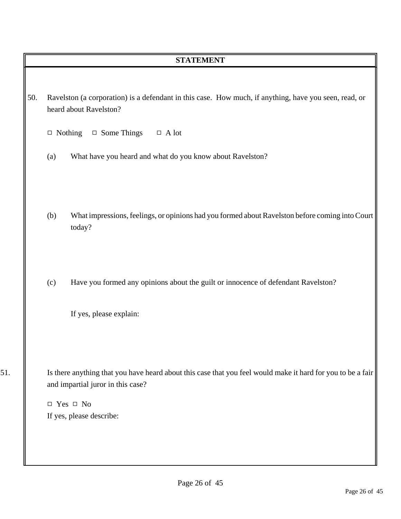| 50. Ravelston (a corporation) is a defendant in this case. How much, if anything, have you seen, read, or |  |
|-----------------------------------------------------------------------------------------------------------|--|
| heard about Ravelston?                                                                                    |  |

 $\Box$  Nothing  $\Box$  Some Things  $\Box$  A lot

- (a) What have you heard and what do you know about Ravelston?
- (b) What impressions, feelings, or opinions had you formed about Ravelston before coming into Court today?
- (c) Have you formed any opinions about the guilt or innocence of defendant Ravelston?

If yes, please explain:

51. Is there anything that you have heard about this case that you feel would make it hard for you to be a fair and impartial juror in this case?

> $\Box$  Yes  $\Box$  No If yes, please describe: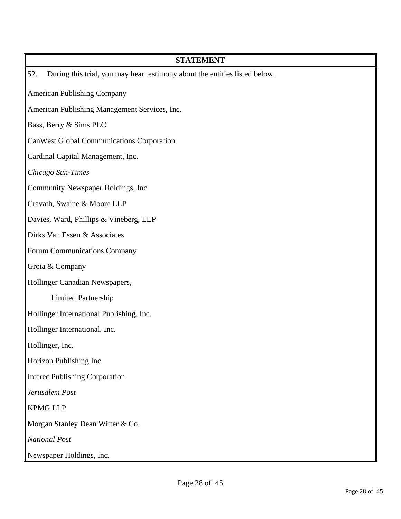| <b>STATEMENT</b>                                                                  |
|-----------------------------------------------------------------------------------|
| 52.<br>During this trial, you may hear testimony about the entities listed below. |
| <b>American Publishing Company</b>                                                |
| American Publishing Management Services, Inc.                                     |
| Bass, Berry & Sims PLC                                                            |
| <b>CanWest Global Communications Corporation</b>                                  |
| Cardinal Capital Management, Inc.                                                 |
| Chicago Sun-Times                                                                 |
| Community Newspaper Holdings, Inc.                                                |
| Cravath, Swaine & Moore LLP                                                       |
| Davies, Ward, Phillips & Vineberg, LLP                                            |
| Dirks Van Essen & Associates                                                      |
| Forum Communications Company                                                      |
| Groia & Company                                                                   |
| Hollinger Canadian Newspapers,                                                    |
| <b>Limited Partnership</b>                                                        |
| Hollinger International Publishing, Inc.                                          |
| Hollinger International, Inc.                                                     |
| Hollinger, Inc.                                                                   |
| Horizon Publishing Inc.                                                           |
| <b>Interec Publishing Corporation</b>                                             |
| Jerusalem Post                                                                    |
| <b>KPMG LLP</b>                                                                   |
| Morgan Stanley Dean Witter & Co.                                                  |
| <b>National Post</b>                                                              |
| Newspaper Holdings, Inc.                                                          |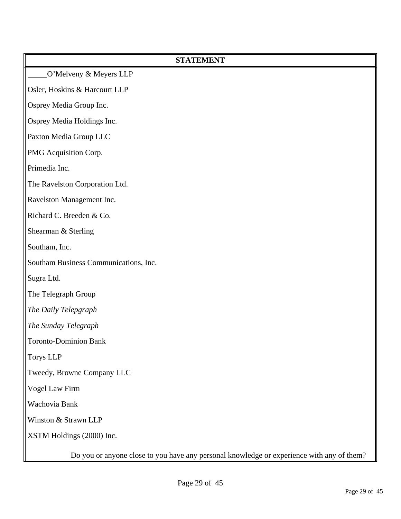| <b>STATEMENT</b>                                                                          |
|-------------------------------------------------------------------------------------------|
| O'Melveny & Meyers LLP                                                                    |
| Osler, Hoskins & Harcourt LLP                                                             |
| Osprey Media Group Inc.                                                                   |
| Osprey Media Holdings Inc.                                                                |
| Paxton Media Group LLC                                                                    |
| PMG Acquisition Corp.                                                                     |
| Primedia Inc.                                                                             |
| The Ravelston Corporation Ltd.                                                            |
| Ravelston Management Inc.                                                                 |
| Richard C. Breeden & Co.                                                                  |
| Shearman & Sterling                                                                       |
| Southam, Inc.                                                                             |
| Southam Business Communications, Inc.                                                     |
| Sugra Ltd.                                                                                |
| The Telegraph Group                                                                       |
| The Daily Telepgraph                                                                      |
| The Sunday Telegraph                                                                      |
| <b>Toronto-Dominion Bank</b>                                                              |
| <b>Torys LLP</b>                                                                          |
| Tweedy, Browne Company LLC                                                                |
| Vogel Law Firm                                                                            |
| Wachovia Bank                                                                             |
| Winston & Strawn LLP                                                                      |
| XSTM Holdings (2000) Inc.                                                                 |
| Do you or anyone close to you have any personal knowledge or experience with any of them? |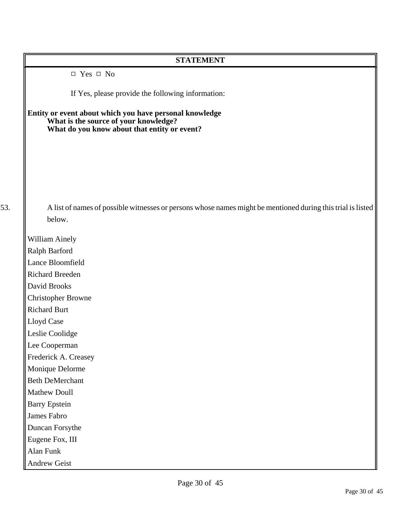| <b>STATEMENT</b>                                                                                                                                 |
|--------------------------------------------------------------------------------------------------------------------------------------------------|
| $\Box$ Yes $\Box$ No                                                                                                                             |
| If Yes, please provide the following information:                                                                                                |
| Entity or event about which you have personal knowledge<br>What is the source of your knowledge?<br>What do you know about that entity or event? |
|                                                                                                                                                  |
| A list of names of possible witnesses or persons whose names might be mentioned during this trial is listed                                      |
| below.                                                                                                                                           |
| <b>William Ainely</b>                                                                                                                            |
| Ralph Barford                                                                                                                                    |
| Lance Bloomfield                                                                                                                                 |
| <b>Richard Breeden</b>                                                                                                                           |
| David Brooks                                                                                                                                     |
| <b>Christopher Browne</b>                                                                                                                        |
| <b>Richard Burt</b>                                                                                                                              |
| Lloyd Case                                                                                                                                       |
| Leslie Coolidge                                                                                                                                  |
| Lee Cooperman                                                                                                                                    |
| Frederick A. Creasey                                                                                                                             |
| Monique Delorme                                                                                                                                  |
| <b>Beth DeMerchant</b>                                                                                                                           |
| Mathew Doull                                                                                                                                     |
| <b>Barry Epstein</b>                                                                                                                             |
| James Fabro                                                                                                                                      |
| Duncan Forsythe                                                                                                                                  |
| Eugene Fox, III                                                                                                                                  |
| Alan Funk                                                                                                                                        |
| Andrew Geist                                                                                                                                     |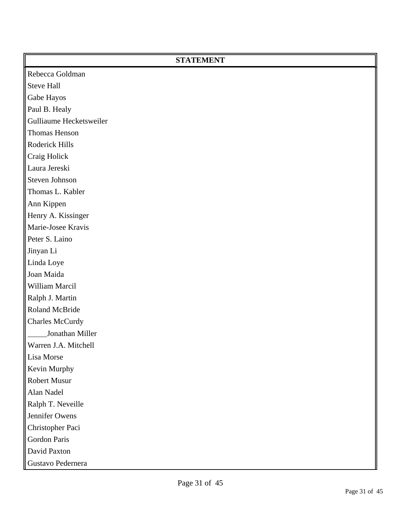| <b>STATEMENT</b>        |  |
|-------------------------|--|
| Rebecca Goldman         |  |
| <b>Steve Hall</b>       |  |
| Gabe Hayos              |  |
| Paul B. Healy           |  |
| Gulliaume Hecketsweiler |  |
| Thomas Henson           |  |
| Roderick Hills          |  |
| Craig Holick            |  |
| Laura Jereski           |  |
| Steven Johnson          |  |
| Thomas L. Kabler        |  |
| Ann Kippen              |  |
| Henry A. Kissinger      |  |
| Marie-Josee Kravis      |  |
| Peter S. Laino          |  |
| Jinyan Li               |  |
| Linda Loye              |  |
| Joan Maida              |  |
| William Marcil          |  |
| Ralph J. Martin         |  |
| Roland McBride          |  |
| <b>Charles McCurdy</b>  |  |
| Jonathan Miller         |  |
| Warren J.A. Mitchell    |  |
| Lisa Morse              |  |
| Kevin Murphy            |  |
| Robert Musur            |  |
| Alan Nadel              |  |
| Ralph T. Neveille       |  |
| Jennifer Owens          |  |
| Christopher Paci        |  |
| Gordon Paris            |  |
| David Paxton            |  |
| Gustavo Pedernera       |  |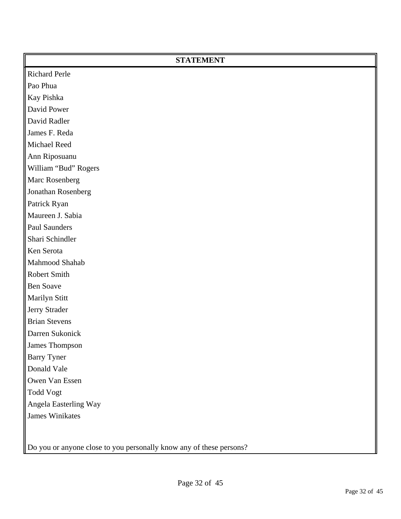| <b>Richard Perle</b><br>Pao Phua<br>Kay Pishka<br>David Power<br>David Radler<br>James F. Reda<br>Michael Reed<br>Ann Riposuanu<br>William "Bud" Rogers<br>Marc Rosenberg<br>Jonathan Rosenberg<br>Patrick Ryan<br>Maureen J. Sabia<br>Paul Saunders<br>Shari Schindler<br>Ken Serota<br>Mahmood Shahab<br>Robert Smith<br><b>Ben Soave</b><br>Marilyn Stitt<br>Jerry Strader<br><b>Brian Stevens</b><br>Darren Sukonick<br>James Thompson |
|--------------------------------------------------------------------------------------------------------------------------------------------------------------------------------------------------------------------------------------------------------------------------------------------------------------------------------------------------------------------------------------------------------------------------------------------|
|                                                                                                                                                                                                                                                                                                                                                                                                                                            |
|                                                                                                                                                                                                                                                                                                                                                                                                                                            |
|                                                                                                                                                                                                                                                                                                                                                                                                                                            |
|                                                                                                                                                                                                                                                                                                                                                                                                                                            |
|                                                                                                                                                                                                                                                                                                                                                                                                                                            |
|                                                                                                                                                                                                                                                                                                                                                                                                                                            |
|                                                                                                                                                                                                                                                                                                                                                                                                                                            |
|                                                                                                                                                                                                                                                                                                                                                                                                                                            |
|                                                                                                                                                                                                                                                                                                                                                                                                                                            |
|                                                                                                                                                                                                                                                                                                                                                                                                                                            |
|                                                                                                                                                                                                                                                                                                                                                                                                                                            |
|                                                                                                                                                                                                                                                                                                                                                                                                                                            |
|                                                                                                                                                                                                                                                                                                                                                                                                                                            |
|                                                                                                                                                                                                                                                                                                                                                                                                                                            |
|                                                                                                                                                                                                                                                                                                                                                                                                                                            |
|                                                                                                                                                                                                                                                                                                                                                                                                                                            |
|                                                                                                                                                                                                                                                                                                                                                                                                                                            |
|                                                                                                                                                                                                                                                                                                                                                                                                                                            |
|                                                                                                                                                                                                                                                                                                                                                                                                                                            |
|                                                                                                                                                                                                                                                                                                                                                                                                                                            |
|                                                                                                                                                                                                                                                                                                                                                                                                                                            |
|                                                                                                                                                                                                                                                                                                                                                                                                                                            |
|                                                                                                                                                                                                                                                                                                                                                                                                                                            |
|                                                                                                                                                                                                                                                                                                                                                                                                                                            |
| <b>Barry Tyner</b>                                                                                                                                                                                                                                                                                                                                                                                                                         |
| Donald Vale                                                                                                                                                                                                                                                                                                                                                                                                                                |
| Owen Van Essen                                                                                                                                                                                                                                                                                                                                                                                                                             |
| <b>Todd Vogt</b>                                                                                                                                                                                                                                                                                                                                                                                                                           |
| Angela Easterling Way                                                                                                                                                                                                                                                                                                                                                                                                                      |
| <b>James Winikates</b>                                                                                                                                                                                                                                                                                                                                                                                                                     |
|                                                                                                                                                                                                                                                                                                                                                                                                                                            |

Do you or anyone close to you personally know any of these persons?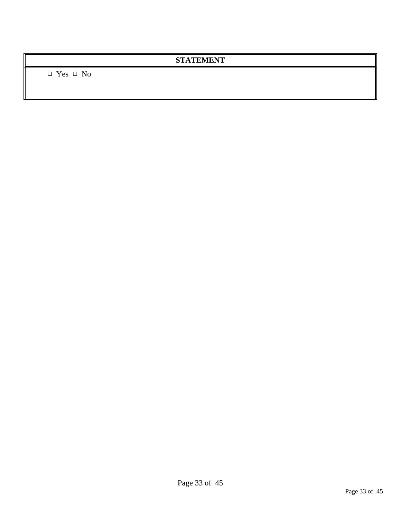$\hfill \Box$  <br> Yes  $\hfill \Box$  <br> No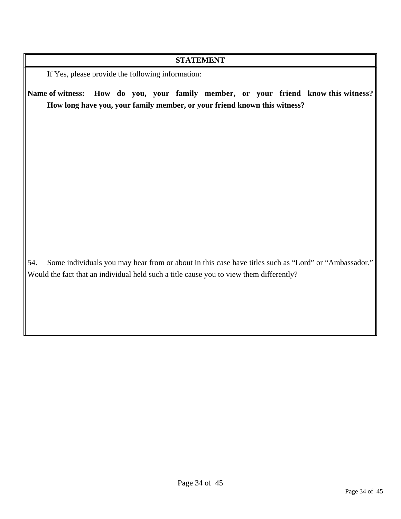If Yes, please provide the following information:

**Name of witness: How do you, your family member, or your friend know this witness? How long have you, your family member, or your friend known this witness?**

54. Some individuals you may hear from or about in this case have titles such as "Lord" or "Ambassador." Would the fact that an individual held such a title cause you to view them differently?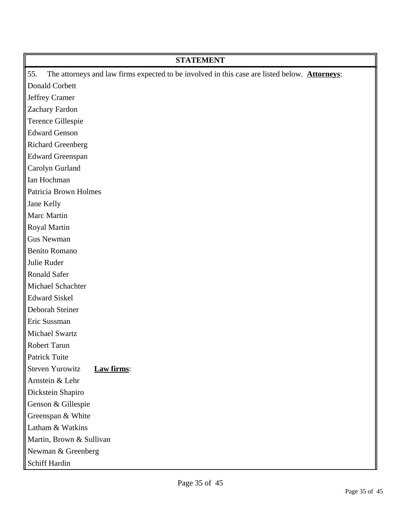| <b>STATEMENT</b>                                                                                     |
|------------------------------------------------------------------------------------------------------|
| The attorneys and law firms expected to be involved in this case are listed below. Attorneys:<br>55. |
| Donald Corbett                                                                                       |
| Jeffrey Cramer                                                                                       |
| Zachary Fardon                                                                                       |
| Terence Gillespie                                                                                    |
| <b>Edward Genson</b>                                                                                 |
| <b>Richard Greenberg</b>                                                                             |
| <b>Edward Greenspan</b>                                                                              |
| Carolyn Gurland                                                                                      |
| Ian Hochman                                                                                          |
| <b>Patricia Brown Holmes</b>                                                                         |
| Jane Kelly                                                                                           |
| Marc Martin                                                                                          |
| Royal Martin                                                                                         |
| <b>Gus Newman</b>                                                                                    |
| <b>Benito Romano</b>                                                                                 |
| Julie Ruder                                                                                          |
| <b>Ronald Safer</b>                                                                                  |
| Michael Schachter                                                                                    |
| <b>Edward Siskel</b>                                                                                 |
| Deborah Steiner                                                                                      |
| Eric Sussman                                                                                         |
| Michael Swartz                                                                                       |
| Robert Tarun                                                                                         |
| Patrick Tuite                                                                                        |
| <b>Steven Yurowitz</b><br>Law firms:                                                                 |
| Arnstein & Lehr                                                                                      |
| Dickstein Shapiro                                                                                    |
| Genson & Gillespie                                                                                   |
| Greenspan & White                                                                                    |
| Latham & Watkins                                                                                     |
| Martin, Brown & Sullivan                                                                             |
| Newman & Greenberg                                                                                   |
| Schiff Hardin                                                                                        |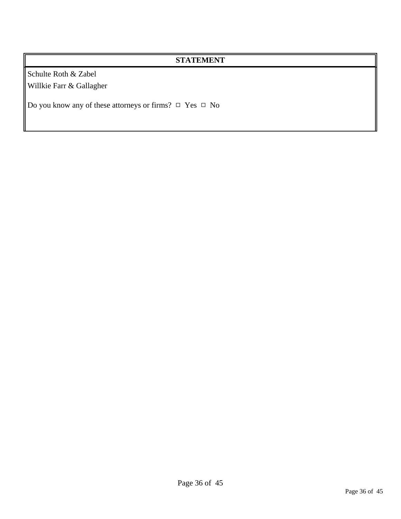Schulte Roth & Zabel Willkie Farr & Gallagher

Do you know any of these attorneys or firms?  $\Box$  Yes  $\Box$  No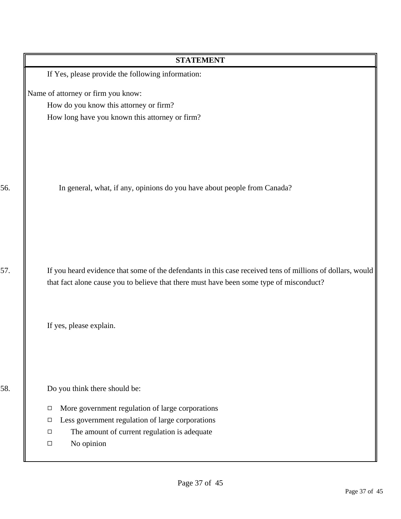| <b>STATEMENT</b>                                                                                                                                                                                      |
|-------------------------------------------------------------------------------------------------------------------------------------------------------------------------------------------------------|
| If Yes, please provide the following information:                                                                                                                                                     |
| Name of attorney or firm you know:                                                                                                                                                                    |
| How do you know this attorney or firm?                                                                                                                                                                |
| How long have you known this attorney or firm?                                                                                                                                                        |
| In general, what, if any, opinions do you have about people from Canada?                                                                                                                              |
| If you heard evidence that some of the defendants in this case received tens of millions of dollars, would<br>that fact alone cause you to believe that there must have been some type of misconduct? |
| If yes, please explain.                                                                                                                                                                               |
| Do you think there should be:                                                                                                                                                                         |
| More government regulation of large corporations<br>$\Box$                                                                                                                                            |
| Less government regulation of large corporations<br>□                                                                                                                                                 |
| The amount of current regulation is adequate<br>$\Box$                                                                                                                                                |
| No opinion<br>$\Box$                                                                                                                                                                                  |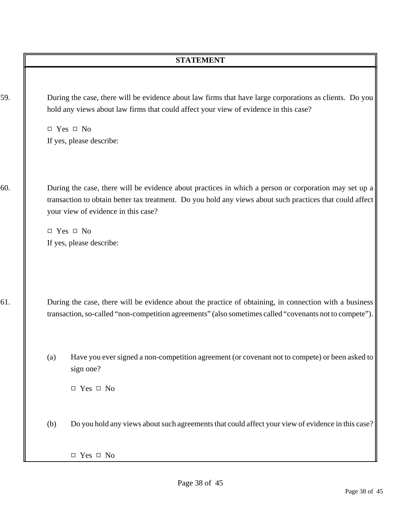| 59. |     | During the case, there will be evidence about law firms that have large corporations as clients. Do you<br>hold any views about law firms that could affect your view of evidence in this case?<br>$\Box$ Yes $\Box$ No<br>If yes, please describe:                                                          |
|-----|-----|--------------------------------------------------------------------------------------------------------------------------------------------------------------------------------------------------------------------------------------------------------------------------------------------------------------|
| 60. |     | During the case, there will be evidence about practices in which a person or corporation may set up a<br>transaction to obtain better tax treatment. Do you hold any views about such practices that could affect<br>your view of evidence in this case?<br>$\Box$ Yes $\Box$ No<br>If yes, please describe: |
| 61. |     | During the case, there will be evidence about the practice of obtaining, in connection with a business<br>transaction, so-called "non-competition agreements" (also sometimes called "covenants not to compete").                                                                                            |
|     | (a) | Have you ever signed a non-competition agreement (or covenant not to compete) or been asked to<br>sign one?<br>$\Box$ Yes $\Box$ No                                                                                                                                                                          |
|     | (b) | Do you hold any views about such agreements that could affect your view of evidence in this case?<br>$\Box$ Yes $\Box$ No                                                                                                                                                                                    |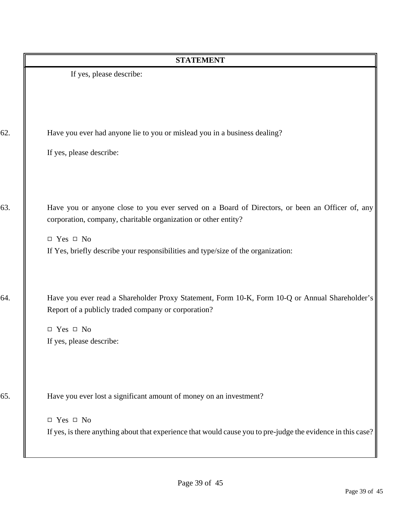|     | <b>STATEMENT</b>                                                                                                                                                                                                                                                               |
|-----|--------------------------------------------------------------------------------------------------------------------------------------------------------------------------------------------------------------------------------------------------------------------------------|
|     | If yes, please describe:                                                                                                                                                                                                                                                       |
| 62. | Have you ever had anyone lie to you or mislead you in a business dealing?<br>If yes, please describe:                                                                                                                                                                          |
| 63. | Have you or anyone close to you ever served on a Board of Directors, or been an Officer of, any<br>corporation, company, charitable organization or other entity?<br>$\Box$ Yes $\Box$ No<br>If Yes, briefly describe your responsibilities and type/size of the organization: |
| 64. | Have you ever read a Shareholder Proxy Statement, Form 10-K, Form 10-Q or Annual Shareholder's<br>Report of a publicly traded company or corporation?<br>$\Box$ Yes $\Box$ No<br>If yes, please describe:                                                                      |
| 65. | Have you ever lost a significant amount of money on an investment?<br>$\Box$ Yes $\Box$ No<br>If yes, is there anything about that experience that would cause you to pre-judge the evidence in this case?                                                                     |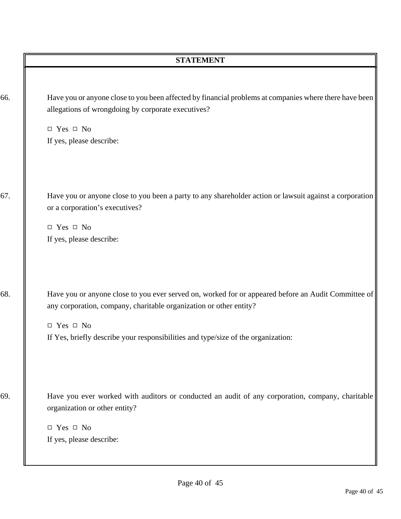|     | <b>STATEMENT</b>                                                                                                                                                                                                                                                                       |
|-----|----------------------------------------------------------------------------------------------------------------------------------------------------------------------------------------------------------------------------------------------------------------------------------------|
| 66. | Have you or anyone close to you been affected by financial problems at companies where there have been<br>allegations of wrongdoing by corporate executives?<br>$\Box$ Yes $\Box$ No<br>If yes, please describe:                                                                       |
| 67. | Have you or anyone close to you been a party to any shareholder action or lawsuit against a corporation<br>or a corporation's executives?<br>$\Box$ Yes $\Box$ No<br>If yes, please describe:                                                                                          |
| 68. | Have you or anyone close to you ever served on, worked for or appeared before an Audit Committee of<br>any corporation, company, charitable organization or other entity?<br>$\Box$ Yes $\Box$ No<br>If Yes, briefly describe your responsibilities and type/size of the organization: |
| 69. | Have you ever worked with auditors or conducted an audit of any corporation, company, charitable<br>organization or other entity?<br>$\Box$ Yes $\Box$ No<br>If yes, please describe:                                                                                                  |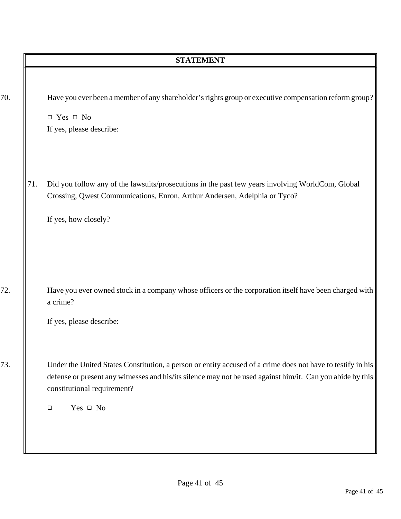|     | <b>STATEMENT</b>                                                                                                                                                                                                                                                                    |
|-----|-------------------------------------------------------------------------------------------------------------------------------------------------------------------------------------------------------------------------------------------------------------------------------------|
|     | Have you ever been a member of any shareholder's rights group or executive compensation reform group?<br>$\Box$ Yes $\Box$ No<br>If yes, please describe:                                                                                                                           |
| 71. | Did you follow any of the lawsuits/prosecutions in the past few years involving WorldCom, Global<br>Crossing, Qwest Communications, Enron, Arthur Andersen, Adelphia or Tyco?<br>If yes, how closely?                                                                               |
|     | Have you ever owned stock in a company whose officers or the corporation itself have been charged with<br>a crime?<br>If yes, please describe:                                                                                                                                      |
|     | Under the United States Constitution, a person or entity accused of a crime does not have to testify in his<br>defense or present any witnesses and his/its silence may not be used against him/it. Can you abide by this<br>constitutional requirement?<br>Yes $\Box$ No<br>$\Box$ |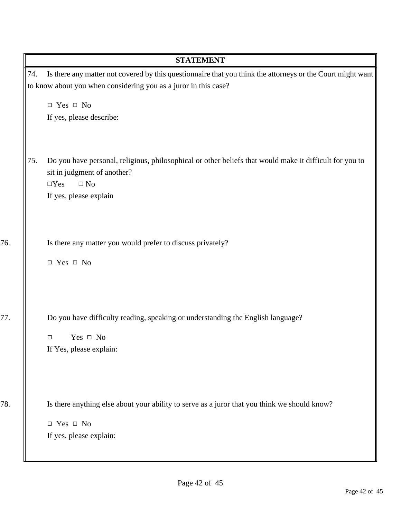|     | <b>STATEMENT</b>                                                                                           |
|-----|------------------------------------------------------------------------------------------------------------|
| 74. | Is there any matter not covered by this questionnaire that you think the attorneys or the Court might want |
|     | to know about you when considering you as a juror in this case?                                            |
|     | $\Box$ Yes $\Box$ No                                                                                       |
|     | If yes, please describe:                                                                                   |
|     |                                                                                                            |
| 75. | Do you have personal, religious, philosophical or other beliefs that would make it difficult for you to    |
|     | sit in judgment of another?                                                                                |
|     | $\Box$ Yes<br>$\square$ No                                                                                 |
|     | If yes, please explain                                                                                     |
|     |                                                                                                            |
|     |                                                                                                            |
|     | Is there any matter you would prefer to discuss privately?                                                 |
|     | $\Box$ Yes $\Box$ No                                                                                       |
|     |                                                                                                            |
|     |                                                                                                            |
|     | Do you have difficulty reading, speaking or understanding the English language?                            |
|     | Yes $\Box$ No<br>$\Box$                                                                                    |
|     | If Yes, please explain:                                                                                    |
|     |                                                                                                            |
|     |                                                                                                            |
|     | Is there anything else about your ability to serve as a juror that you think we should know?               |
|     | $\Box$ Yes $\Box$ No                                                                                       |
|     | If yes, please explain:                                                                                    |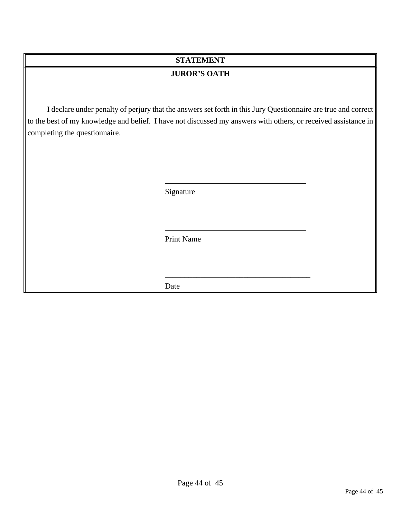### **JUROR'S OATH**

I declare under penalty of perjury that the answers set forth in this Jury Questionnaire are true and correct to the best of my knowledge and belief. I have not discussed my answers with others, or received assistance in completing the questionnaire.

Signature

Print Name

\_\_\_\_\_\_\_\_\_\_\_\_\_\_\_\_\_\_\_\_\_\_\_\_\_\_\_\_\_\_\_\_\_\_\_\_\_

Date